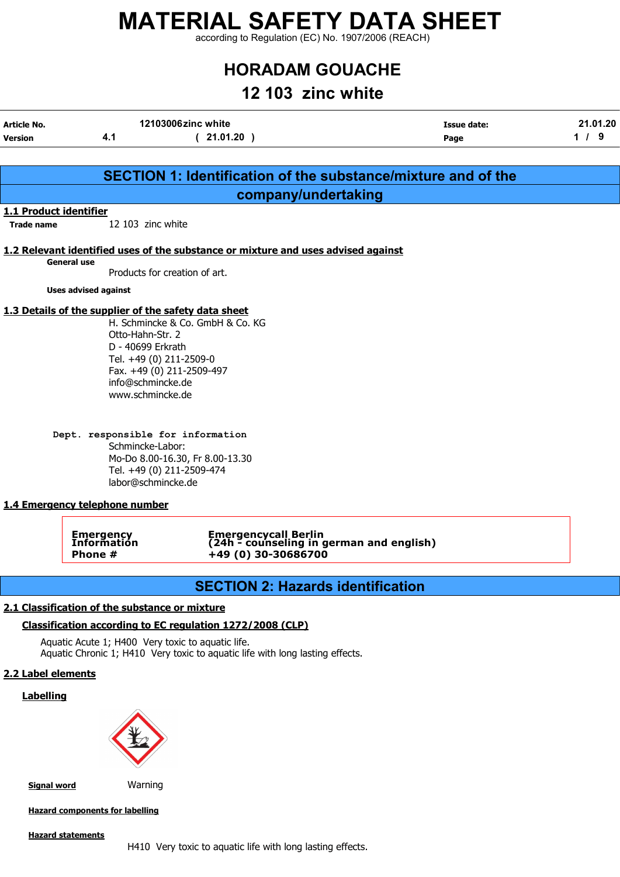according to Regulation (EC) No. 1907/2006 (REACH)

# HORADAM GOUACHE

## 12 103 zinc white

| Article No.    | 12103006zinc white | Issue date: | 21.01.20 |
|----------------|--------------------|-------------|----------|
| <b>Version</b> | 21.01.20           | Page        |          |

|                        |                                                      | <b>SECTION 1: Identification of the substance/mixture and of the</b>              |  |
|------------------------|------------------------------------------------------|-----------------------------------------------------------------------------------|--|
|                        |                                                      | company/undertaking                                                               |  |
| 1.1 Product identifier |                                                      |                                                                                   |  |
| <b>Trade name</b>      | 12 103 zinc white                                    |                                                                                   |  |
|                        |                                                      | 1.2 Relevant identified uses of the substance or mixture and uses advised against |  |
|                        | <b>General use</b>                                   |                                                                                   |  |
|                        | Products for creation of art.                        |                                                                                   |  |
|                        | <b>Uses advised against</b>                          |                                                                                   |  |
|                        | 1.3 Details of the supplier of the safety data sheet |                                                                                   |  |
|                        |                                                      | H. Schmincke & Co. GmbH & Co. KG                                                  |  |
|                        | Otto-Hahn-Str. 2                                     |                                                                                   |  |
|                        | D - 40699 Erkrath                                    |                                                                                   |  |
|                        | Tel. +49 (0) 211-2509-0                              |                                                                                   |  |
|                        | Fax. +49 (0) 211-2509-497<br>info@schmincke.de       |                                                                                   |  |
|                        | www.schmincke.de                                     |                                                                                   |  |
|                        |                                                      |                                                                                   |  |
|                        | Dept. responsible for information                    |                                                                                   |  |
|                        | Schmincke-Labor:                                     |                                                                                   |  |
|                        |                                                      | Mo-Do 8.00-16.30, Fr 8.00-13.30                                                   |  |
|                        | Tel. +49 (0) 211-2509-474                            |                                                                                   |  |
|                        | labor@schmincke.de                                   |                                                                                   |  |
|                        | 1.4 Emergency telephone number                       |                                                                                   |  |
|                        |                                                      |                                                                                   |  |
|                        | Emergency<br>Information                             | Emergencycall Berlin<br>(24h - counseling in german and english)                  |  |
|                        | Phone #                                              | +49 (0) 30-30686700                                                               |  |
|                        |                                                      |                                                                                   |  |
|                        |                                                      | <b>SECTION 2: Hazards identification</b>                                          |  |

### 2.1 Classification of the substance or mixture

### Classification according to EC regulation 1272/2008 (CLP)

Aquatic Acute 1; H400 Very toxic to aquatic life. Aquatic Chronic 1; H410 Very toxic to aquatic life with long lasting effects.

### 2.2 Label elements

### **Labelling**



Signal word Warning

Hazard components for labelling

#### Hazard statements

H410 Very toxic to aquatic life with long lasting effects.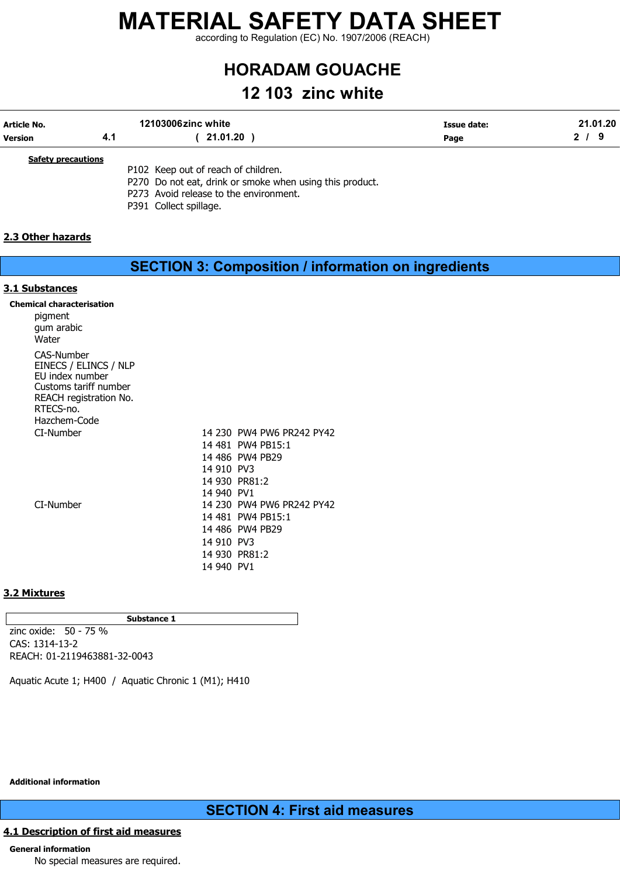according to Regulation (EC) No. 1907/2006 (REACH)

# HORADAM GOUACHE

## 12 103 zinc white

| Article No.    | 12103006zinc white | <b>Issue date:</b> | 21.01.20 |
|----------------|--------------------|--------------------|----------|
| <b>Version</b> | 21.01.20           | Page               |          |
|                |                    |                    |          |

**Safety precautions** 

P102 Keep out of reach of children. P270 Do not eat, drink or smoke when using this product. P273 Avoid release to the environment. P391 Collect spillage.

### 2.3 Other hazards

|                                                                                                                                               |                                                      | <b>SECTION 3: Composition / information on ingredients</b>                                                                                                               |  |
|-----------------------------------------------------------------------------------------------------------------------------------------------|------------------------------------------------------|--------------------------------------------------------------------------------------------------------------------------------------------------------------------------|--|
| 3.1 Substances                                                                                                                                |                                                      |                                                                                                                                                                          |  |
| <b>Chemical characterisation</b><br>pigment<br>gum arabic<br>Water                                                                            |                                                      |                                                                                                                                                                          |  |
| <b>CAS-Number</b><br>EINECS / ELINCS / NLP<br>EU index number<br>Customs tariff number<br>REACH registration No.<br>RTECS-no.<br>Hazchem-Code |                                                      |                                                                                                                                                                          |  |
| CI-Number<br>CI-Number                                                                                                                        | 14 910 PV3<br>14 940 PV1<br>14 910 PV3<br>14 940 PV1 | 14 230 PW4 PW6 PR242 PY42<br>14 481 PW4 PB15:1<br>14 486 PW4 PB29<br>14 930 PR81:2<br>14 230 PW4 PW6 PR242 PY42<br>14 481 PW4 PB15:1<br>14 486 PW4 PB29<br>14 930 PR81:2 |  |

### 3.2 Mixtures

Substance 1 zinc oxide: 50 - 75 % CAS: 1314-13-2 REACH: 01-2119463881-32-0043

Aquatic Acute 1; H400 / Aquatic Chronic 1 (M1); H410

### Additional information

### SECTION 4: First aid measures

### 4.1 Description of first aid measures

### General information

No special measures are required.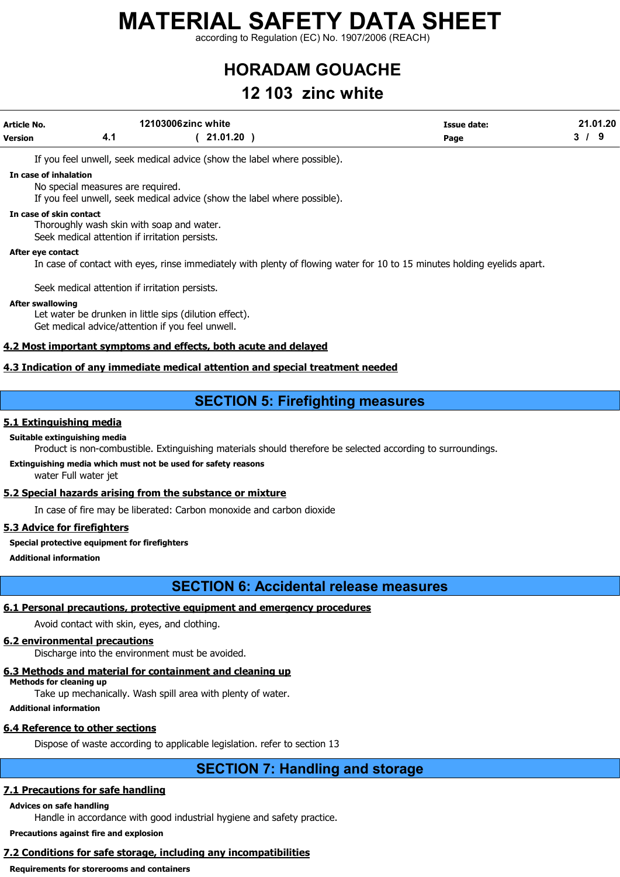according to Regulation (EC) No. 1907/2006 (REACH)

# HORADAM GOUACHE

## 12 103 zinc white

| Article No.    |      | 12103006zinc white | Issue date: | 21.01.20 |
|----------------|------|--------------------|-------------|----------|
| <b>Version</b> | 4. . | 21.01.20           | Page        |          |
|                |      |                    |             |          |

If you feel unwell, seek medical advice (show the label where possible).

#### In case of inhalation

No special measures are required.

If you feel unwell, seek medical advice (show the label where possible).

#### In case of skin contact

Thoroughly wash skin with soap and water.

Seek medical attention if irritation persists.

#### After eye contact

In case of contact with eyes, rinse immediately with plenty of flowing water for 10 to 15 minutes holding eyelids apart.

Seek medical attention if irritation persists.

#### After swallowing

Let water be drunken in little sips (dilution effect). Get medical advice/attention if you feel unwell.

### 4.2 Most important symptoms and effects, both acute and delayed

### 4.3 Indication of any immediate medical attention and special treatment needed

### SECTION 5: Firefighting measures

### 5.1 Extinguishing media

### Suitable extinguishing media

Product is non-combustible. Extinguishing materials should therefore be selected according to surroundings.

### Extinguishing media which must not be used for safety reasons

water Full water jet

### 5.2 Special hazards arising from the substance or mixture

In case of fire may be liberated: Carbon monoxide and carbon dioxide

### 5.3 Advice for firefighters

Special protective equipment for firefighters

Additional information

### SECTION 6: Accidental release measures

### 6.1 Personal precautions, protective equipment and emergency procedures

Avoid contact with skin, eyes, and clothing.

### 6.2 environmental precautions

Discharge into the environment must be avoided.

### 6.3 Methods and material for containment and cleaning up

Methods for cleaning up

Take up mechanically. Wash spill area with plenty of water.

Additional information

### 6.4 Reference to other sections

Dispose of waste according to applicable legislation. refer to section 13

### SECTION 7: Handling and storage

### 7.1 Precautions for safe handling

### Advices on safe handling

Handle in accordance with good industrial hygiene and safety practice.

Precautions against fire and explosion

### 7.2 Conditions for safe storage, including any incompatibilities

Requirements for storerooms and containers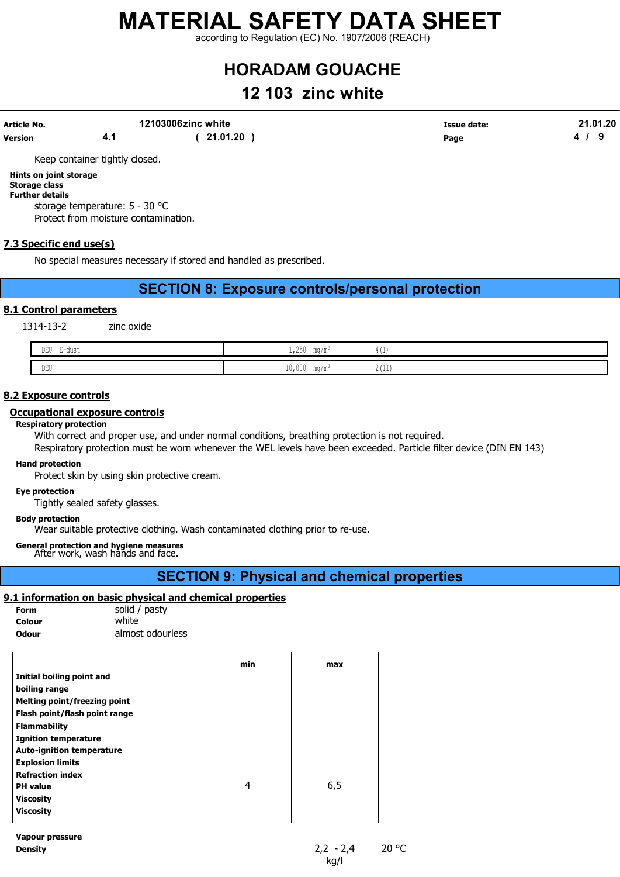according to Regulation (EC) No. 1907/2006 (REACH)

# HORADAM GOUACHE

## 12 103 zinc white

|                                          | 21.01.20 |
|------------------------------------------|----------|
| 21.01.20<br><b>Version</b><br>Page<br>4. |          |

Keep container tightly closed.

### Hints on joint storage

#### Storage class Further details

storage temperature: 5 - 30 °C

Protect from moisture contamination.

### 7.3 Specific end use(s)

No special measures necessary if stored and handled as prescribed.

### SECTION 8: Exposure controls/personal protection

### 8.1 Control parameters

1314-13-2 zinc oxide

| $- - - -$<br>∪⊔ש<br>$\sim$ | uuot<br>. . | $\sim$ $\sim$ $\sim$<br>$-1 - 0$<br>$\sim$ | $m \sim$<br>.                     | $\lambda$<br>$\rightarrow$ 1<br>-- |
|----------------------------|-------------|--------------------------------------------|-----------------------------------|------------------------------------|
| DEU                        |             | LUIUVU F                                   | $\blacksquare$ 111 $\blacksquare$ | $1 -$<br>1 4 ( 1 1 <i>)</i>        |

### 8.2 Exposure controls

#### Occupational exposure controls

#### Respiratory protection

With correct and proper use, and under normal conditions, breathing protection is not required. Respiratory protection must be worn whenever the WEL levels have been exceeded. Particle filter device (DIN EN 143)

### Hand protection

Protect skin by using skin protective cream.

#### Eye protection

Tightly sealed safety glasses.

### Body protection

Wear suitable protective clothing. Wash contaminated clothing prior to re-use.

General protection and hygiene measures After work, wash hands and face.

### SECTION 9: Physical and chemical properties

### 9.1 information on basic physical and chemical properties

| <b>Form</b>  | solid / pasty    |
|--------------|------------------|
| Colour       | white            |
| <b>Odour</b> | almost odourless |

|                                  | min | max  |
|----------------------------------|-----|------|
| Initial boiling point and        |     |      |
| boiling range                    |     |      |
| Melting point/freezing point     |     |      |
| Flash point/flash point range    |     |      |
| <b>Flammability</b>              |     |      |
| <b>Ignition temperature</b>      |     |      |
| <b>Auto-ignition temperature</b> |     |      |
| <b>Explosion limits</b>          |     |      |
| <b>Refraction index</b>          |     |      |
| <b>PH</b> value                  | 4   | 6, 5 |
| <b>Viscosity</b>                 |     |      |
| <b>Viscosity</b>                 |     |      |
|                                  |     |      |

Vapour pressure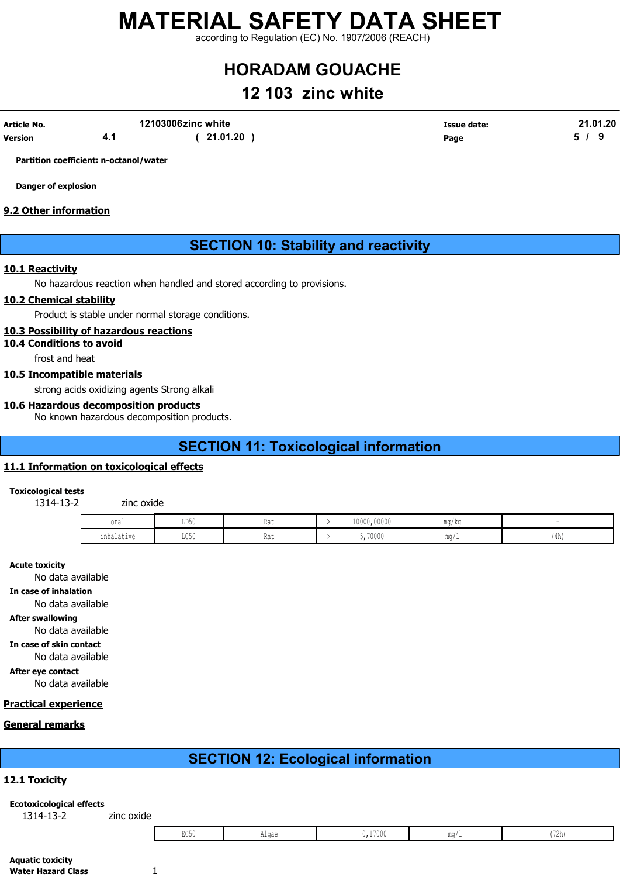according to Regulation (EC) No. 1907/2006 (REACH)

# HORADAM GOUACHE

## 12 103 zinc white

| Article No.    | 12103006zinc white | Issue date: | 21.01.20 |
|----------------|--------------------|-------------|----------|
| <b>Version</b> | 21.01.20           | Page        |          |

Partition coefficient: n-octanol/water

Danger of explosion

### 9.2 Other information

### SECTION 10: Stability and reactivity

### 10.1 Reactivity

No hazardous reaction when handled and stored according to provisions.

### 10.2 Chemical stability

Product is stable under normal storage conditions.

### 10.3 Possibility of hazardous reactions

10.4 Conditions to avoid

frost and heat

### 10.5 Incompatible materials

strong acids oxidizing agents Strong alkali

### 10.6 Hazardous decomposition products

No known hazardous decomposition products.

### SECTION 11: Toxicological information

### 11.1 Information on toxicological effects

Toxicological tests

1314-13-2 zinc oxide

| oral                               | LD50                          | Rat<br>$\sim$ $\sim$ | 10000,00000 | mg/kg             |      |
|------------------------------------|-------------------------------|----------------------|-------------|-------------------|------|
| . .<br>∩nhalatıva<br>⊥⊥⊥⊥ພ⊥ພ∪⊥ ∨ ∪ | $T$ $C$ $E$ $\Lambda$<br>コンソリ | DA4<br>Kdl           | 5,70000     | $m \sim$<br>1114/ | (4h) |

#### Acute toxicity

No data available

In case of inhalation

No data available

After swallowing

No data available

In case of skin contact No data available

After eye contact

No data available

### Practical experience

#### General remarks

### SECTION 12: Ecological information

### 12.1 Toxicity

#### Ecotoxicological effects 1314-13-2 zinc oxide

| ,17000<br>$\sim$ $\sim$<br>$-21$<br>Alqae<br>∪/Zn,<br>⊔∪∪⊍ |
|------------------------------------------------------------|
|------------------------------------------------------------|

| Aquatic toxicity   |  |
|--------------------|--|
| Water Hazard Class |  |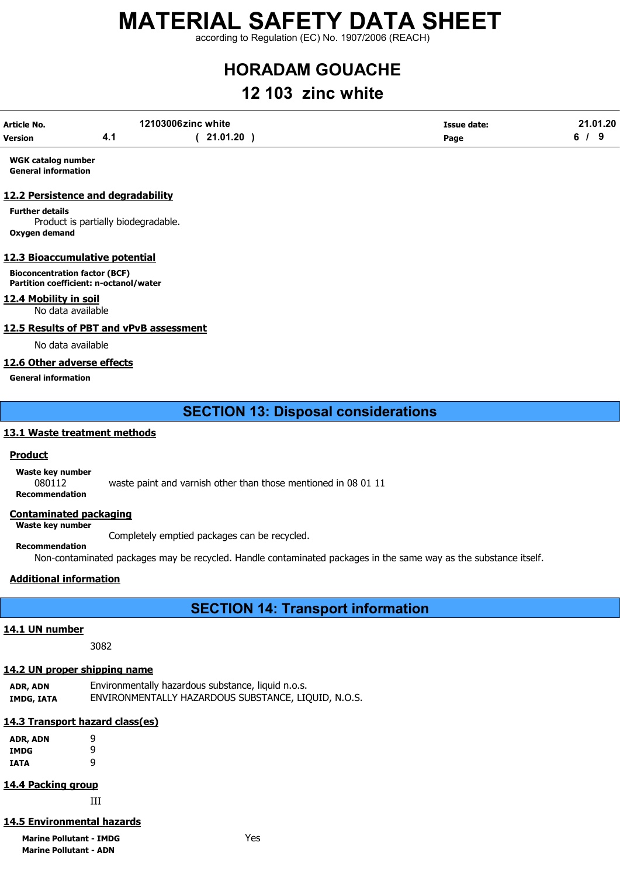according to Regulation (EC) No. 1907/2006 (REACH)

# HORADAM GOUACHE

## 12 103 zinc white

| Article No.    | 12103006zinc white |          | Issue date: |  |  | 21.01.20 |
|----------------|--------------------|----------|-------------|--|--|----------|
| <b>Version</b> | 7. I               | 21.01.20 | Page        |  |  |          |

WGK catalog number General information

### 12.2 Persistence and degradability

Further details Product is partially biodegradable. Oxygen demand

### 12.3 Bioaccumulative potential

Bioconcentration factor (BCF) Partition coefficient: n-octanol/water

### 12.4 Mobility in soil

No data available

### 12.5 Results of PBT and vPvB assessment

No data available

### 12.6 Other adverse effects

General information

### SECTION 13: Disposal considerations

### 13.1 Waste treatment methods

### Product

Waste key number

080112 waste paint and varnish other than those mentioned in 08 01 11 Recommendation

### Contaminated packaging

Waste key number

Recommendation

Completely emptied packages can be recycled.

Non-contaminated packages may be recycled. Handle contaminated packages in the same way as the substance itself.

### Additional information

### SECTION 14: Transport information

### 14.1 UN number

3082

### 14.2 UN proper shipping name

| ADR, ADN   | Environmentally hazardous substance, liquid n.o.s.  |
|------------|-----------------------------------------------------|
| IMDG, IATA | ENVIRONMENTALLY HAZARDOUS SUBSTANCE, LIQUID, N.O.S. |

### 14.3 Transport hazard class(es)

| ADR, ADN | 9 |
|----------|---|
| IMDG     | ٩ |
| IATA     | q |

### 14.4 Packing group

III

### 14.5 Environmental hazards

Marine Pollutant - IMDG **Yes** Marine Pollutant - ADN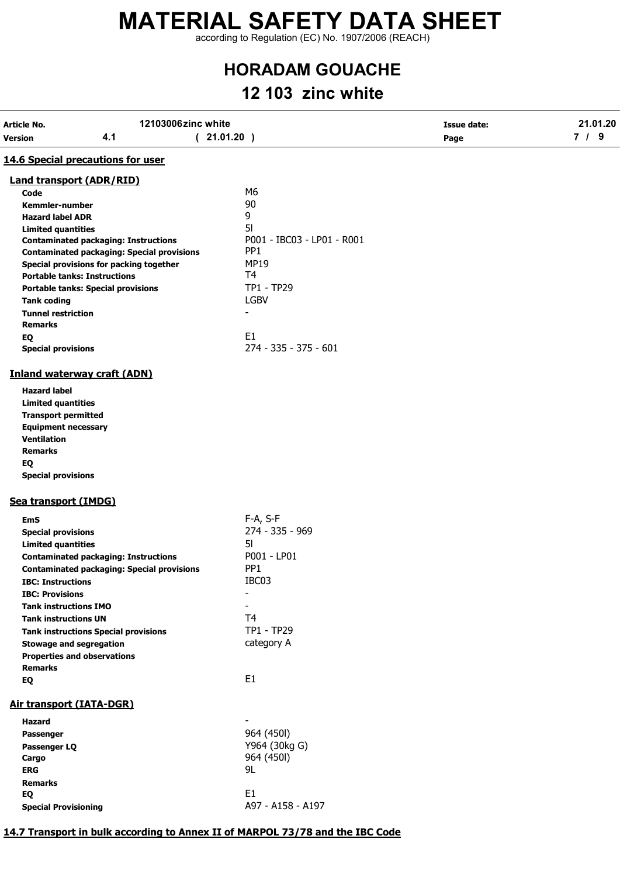according to Regulation (EC) No. 1907/2006 (REACH)

# HORADAM GOUACHE

# 12 103 zinc white

| 12103006zinc white<br><b>Article No.</b><br>4.1<br><b>Version</b>              | (21.01.20)                 | <b>Issue date:</b><br>Page | 21.01.20<br>7/9 |
|--------------------------------------------------------------------------------|----------------------------|----------------------------|-----------------|
|                                                                                |                            |                            |                 |
| 14.6 Special precautions for user                                              |                            |                            |                 |
| <b>Land transport (ADR/RID)</b>                                                |                            |                            |                 |
| Code                                                                           | M <sub>6</sub>             |                            |                 |
| Kemmler-number                                                                 | 90                         |                            |                 |
| <b>Hazard label ADR</b>                                                        | 9                          |                            |                 |
| <b>Limited quantities</b>                                                      | 5 <sub>l</sub>             |                            |                 |
| <b>Contaminated packaging: Instructions</b>                                    | P001 - IBC03 - LP01 - R001 |                            |                 |
| <b>Contaminated packaging: Special provisions</b>                              | PP <sub>1</sub>            |                            |                 |
| Special provisions for packing together<br><b>Portable tanks: Instructions</b> | <b>MP19</b><br>T4          |                            |                 |
|                                                                                | TP1 - TP29                 |                            |                 |
| <b>Portable tanks: Special provisions</b>                                      | <b>LGBV</b>                |                            |                 |
| <b>Tank coding</b>                                                             | $\blacksquare$             |                            |                 |
| <b>Tunnel restriction</b><br><b>Remarks</b>                                    |                            |                            |                 |
|                                                                                | E <sub>1</sub>             |                            |                 |
| EQ<br><b>Special provisions</b>                                                | 274 - 335 - 375 - 601      |                            |                 |
|                                                                                |                            |                            |                 |
| <b>Inland waterway craft (ADN)</b>                                             |                            |                            |                 |
| <b>Hazard label</b>                                                            |                            |                            |                 |
| <b>Limited quantities</b>                                                      |                            |                            |                 |
| <b>Transport permitted</b>                                                     |                            |                            |                 |
| <b>Equipment necessary</b>                                                     |                            |                            |                 |
| <b>Ventilation</b>                                                             |                            |                            |                 |
| <b>Remarks</b>                                                                 |                            |                            |                 |
| EQ                                                                             |                            |                            |                 |
| <b>Special provisions</b>                                                      |                            |                            |                 |
| Sea transport (IMDG)                                                           |                            |                            |                 |
| <b>EmS</b>                                                                     | F-A, S-F                   |                            |                 |
| <b>Special provisions</b>                                                      | 274 - 335 - 969            |                            |                 |
| <b>Limited quantities</b>                                                      | 51                         |                            |                 |
| <b>Contaminated packaging: Instructions</b>                                    | P001 - LP01                |                            |                 |
| <b>Contaminated packaging: Special provisions</b>                              | PP <sub>1</sub>            |                            |                 |
| <b>IBC: Instructions</b>                                                       | IBC03                      |                            |                 |
| <b>IBC: Provisions</b>                                                         |                            |                            |                 |
| <b>Tank instructions IMO</b>                                                   |                            |                            |                 |
| <b>Tank instructions UN</b>                                                    | T <sub>4</sub>             |                            |                 |
| <b>Tank instructions Special provisions</b>                                    | TP1 - TP29                 |                            |                 |
| <b>Stowage and segregation</b>                                                 | category A                 |                            |                 |
| <b>Properties and observations</b>                                             |                            |                            |                 |
| <b>Remarks</b>                                                                 |                            |                            |                 |
| EQ                                                                             | E1                         |                            |                 |
| <b>Air transport (IATA-DGR)</b>                                                |                            |                            |                 |
| <b>Hazard</b>                                                                  |                            |                            |                 |
| Passenger                                                                      | 964 (450I)                 |                            |                 |
| Passenger LQ                                                                   | Y964 (30kg G)              |                            |                 |
| Cargo                                                                          | 964 (450I)                 |                            |                 |
| <b>ERG</b>                                                                     | 9L                         |                            |                 |
| <b>Remarks</b>                                                                 |                            |                            |                 |
| EQ                                                                             | E1                         |                            |                 |
| <b>Special Provisioning</b>                                                    | A97 - A158 - A197          |                            |                 |

### 14.7 Transport in bulk according to Annex II of MARPOL 73/78 and the IBC Code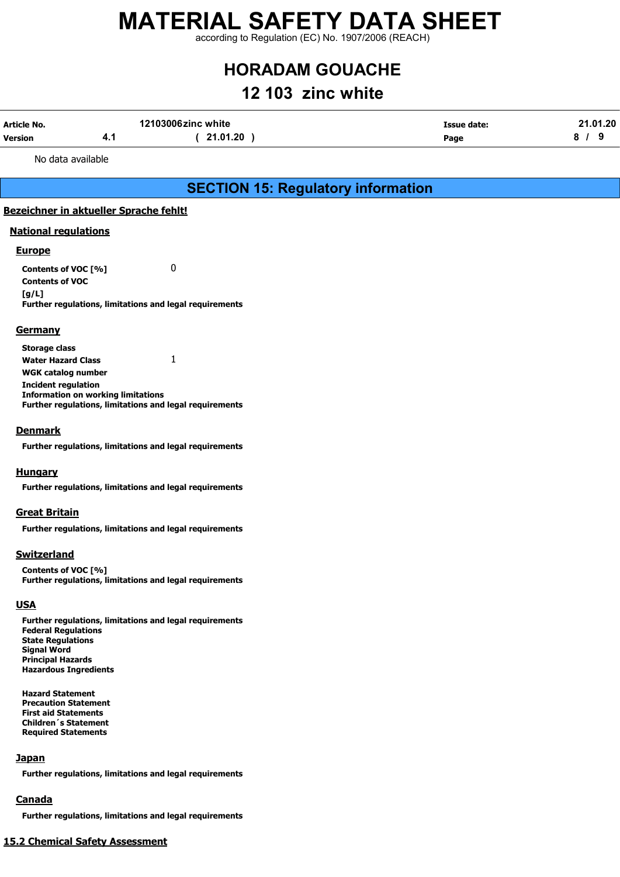according to Regulation (EC) No. 1907/2006 (REACH)

# HORADAM GOUACHE

## 12 103 zinc white

| Article No.    | 12103006zinc white |          | Issue date: | 21.01.20 |
|----------------|--------------------|----------|-------------|----------|
| <b>Version</b> | – ∷                | 21.01.20 | Page        |          |

No data available

### SECTION 15: Regulatory information

### Bezeichner in aktueller Sprache fehlt!

### National regulations

### **Europe**

Contents of VOC [%] 0 Contents of VOC [g/L] Further regulations, limitations and legal requirements

### **Germany**

Storage class Water Hazard Class 1 WGK catalog number Incident regulation Information on working limitations Further regulations, limitations and legal requirements

### **Denmark**

Further regulations, limitations and legal requirements

### **Hungary**

Further regulations, limitations and legal requirements

### Great Britain

Further regulations, limitations and legal requirements

### **Switzerland**

Contents of VOC [%] Further regulations, limitations and legal requirements

### **USA**

Further regulations, limitations and legal requirements Federal Regulations State Regulations Signal Word Principal Hazards Hazardous Ingredients

Hazard Statement Precaution Statement First aid Statements Children´s Statement Required Statements

### **Japan**

Further regulations, limitations and legal requirements

### Canada

Further regulations, limitations and legal requirements

### 15.2 Chemical Safety Assessment